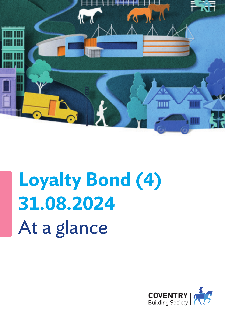

# **Loyalty Bond (4) 31.08.2024** At a glance

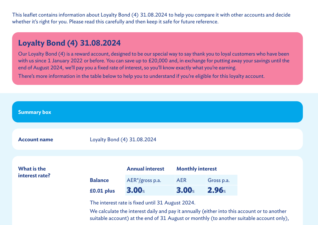This leaflet contains information about Loyalty Bond (4) 31.08.2024 to help you compare it with other accounts and decide whether it's right for you. Please read this carefully and then keep it safe for future reference.

#### **Loyalty Bond (4) 31.08.2024**

Our Loyalty Bond (4) is a reward account, designed to be our special way to say thank you to loyal customers who have been with us since 1 January 2022 or before. You can save up to £20,000 and, in exchange for putting away your savings until the end of August 2024, we'll pay you a fixed rate of interest, so you'll know exactly what you're earning.

There's more information in the table below to help you to understand if you're eligible for this loyalty account.



suitable account) at the end of 31 August or monthly (to another suitable account only),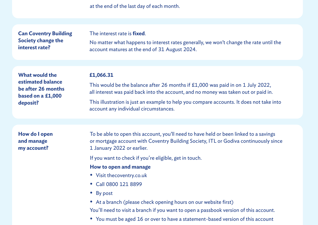at the end of the last day of each month.

| <b>Can Coventry Building</b><br>Society change the<br>interest rate?                              | The interest rate is <b>fixed</b> .<br>No matter what happens to interest rates generally, we won't change the rate until the<br>account matures at the end of 31 August 2024.                              |
|---------------------------------------------------------------------------------------------------|-------------------------------------------------------------------------------------------------------------------------------------------------------------------------------------------------------------|
| <b>What would the</b><br>estimated balance<br>be after 26 months<br>based on a £1,000<br>deposit? | £1,066.31                                                                                                                                                                                                   |
|                                                                                                   | This would be the balance after 26 months if £1,000 was paid in on 1 July 2022,<br>all interest was paid back into the account, and no money was taken out or paid in.                                      |
|                                                                                                   | This illustration is just an example to help you compare accounts. It does not take into<br>account any individual circumstances.                                                                           |
|                                                                                                   |                                                                                                                                                                                                             |
| How do I open<br>and manage<br>my account?                                                        | To be able to open this account, you'll need to have held or been linked to a savings<br>or mortgage account with Coventry Building Society, ITL or Godiva continuously since<br>1 January 2022 or earlier. |
|                                                                                                   | If you want to check if you're eligible, get in touch.                                                                                                                                                      |
|                                                                                                   | How to open and manage                                                                                                                                                                                      |
|                                                                                                   | • Visit thecoventry.co.uk                                                                                                                                                                                   |
|                                                                                                   | • Call 0800 121 8899                                                                                                                                                                                        |
|                                                                                                   | • By post                                                                                                                                                                                                   |
|                                                                                                   | • At a branch (please check opening hours on our website first)                                                                                                                                             |
|                                                                                                   | You'll need to visit a branch if you want to open a passbook version of this account.                                                                                                                       |

• You must be aged 16 or over to have a statement-based version of this account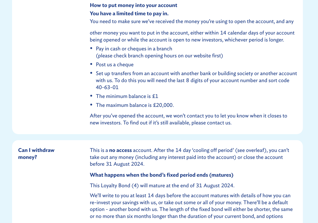#### **How to put money into your account**

#### **You have a limited time to pay in.**

You need to make sure we've received the money you're using to open the account, and any

other money you want to put in the account, either within 14 calendar days of your account being opened or while the account is open to new investors, whichever period is longer.

- Pay in cash or cheques in a branch (please check branch opening hours on our website first)
- Post us a cheque
- Set up transfers from an account with another bank or building society or another account with us. To do this you will need the last 8 digits of your account number and sort code 40-63-01
- The minimum balance is £1
- The maximum balance is £20,000.

After you've opened the account, we won't contact you to let you know when it closes to new investors. To find out if it's still available, please contact us.

**Can I withdraw money?**

This is a **no access** account. After the 14 day 'cooling off period' (see overleaf), you can't take out any money (including any interest paid into the account) or close the account before 31 August 2024.

#### **What happens when the bond's fixed period ends (matures)**

This Loyalty Bond (4) will mature at the end of 31 August 2024.

We'll write to you at least 14 days before the account matures with details of how you can re-invest your savings with us, or take out some or all of your money. There'll be a default option - another bond with us. The length of the fixed bond will either be shorter, the same or no more than six months longer than the duration of your current bond, and options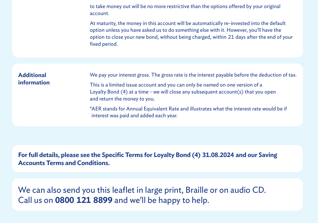to take money out will be no more restrictive than the options offered by your original account.

At maturity, the money in this account will be automatically re-invested into the default option unless you have asked us to do something else with it. However, you'll have the option to close your new bond, without being charged, within 21 days after the end of your fixed period.

| <b>Additional</b><br>information | We pay your interest gross. The gross rate is the interest payable before the deduction of tax.                                                                                                          |
|----------------------------------|----------------------------------------------------------------------------------------------------------------------------------------------------------------------------------------------------------|
|                                  | This is a limited issue account and you can only be named on one version of a<br>Loyalty Bond $(4)$ at a time - we will close any subsequent account $(s)$ that you open<br>and return the money to you. |
|                                  | *AER stands for Annual Equivalent Rate and illustrates what the interest rate would be if<br>interest was paid and added each year.                                                                      |

**For full details, please see the Specific Terms for Loyalty Bond (4) 31.08.2024 and our Saving Accounts Terms and Conditions.**

We can also send you this leaflet in large print, Braille or on audio CD. Call us on **0800 121 8899** and we'll be happy to help.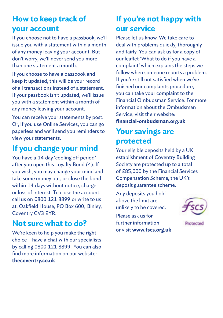#### **How to keep track of your account**

If you choose not to have a passbook, we'll issue you with a statement within a month of any money leaving your account. But don't worry, we'll never send you more than one statement a month.

If you choose to have a passbook and keep it updated, this will be your record of all transactions instead of a statement. If your passbook isn't updated, we'll issue you with a statement within a month of any money leaving your account.

You can receive your statements by post. Or, if you use Online Services, you can go paperless and we'll send you reminders to view your statements.

#### **If you change your mind**

You have a 14 day 'cooling off period' after you open this Loyalty Bond (4). If you wish, you may change your mind and take some money out, or close the bond within 14 days without notice, charge or loss of interest. To close the account, call us on 0800 121 8899 or write to us at: Oakfield House, PO Box 600, Binley, Coventry CV3 9YR.

#### **Not sure what to do?**

We're keen to help you make the right choice – have a chat with our specialists by calling 0800 121 8899. You can also find more information on our website: **thecoventry.co.uk**

## **If you're not happy with our service**

Please let us know. We take care to deal with problems quickly, thoroughly and fairly. You can ask us for a copy of our leaflet 'What to do if you have a complaint' which explains the steps we follow when someone reports a problem. If you're still not satisfied when we've finished our complaints procedure, you can take your complaint to the Financial Ombudsman Service. For more information about the Ombudsman Service, visit their website: **financial-ombudsman.org.uk**

#### **Your savings are protected**

Your eligible deposits held by a UK establishment of Coventry Building Society are protected up to a total of £85,000 by the Financial Services Compensation Scheme, the UK's deposit guarantee scheme.

Any deposits you hold above the limit are unlikely to be covered.

Please ask us for further information or visit **www.fscs.org.uk**

Protected

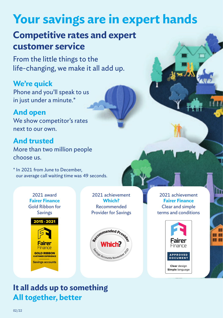## **Your savings are in expert hands**

## **Competitive rates and expert customer service**

From the little things to the life-changing, we make it all add up.

## **We're quick**

Phone and you'll speak to us in just under a minute.\*

#### **And open**

We show competitor's rates next to our own.

#### **And trusted**

More than two million people choose us.

\* In 2021 from June to December, our average call waiting time was 49 seconds.

> 2021 award **Fairer Finance** Gold Ribbon for Savings



2021 achievement **Which?**  Recommended Provider for Savings



2021 achievement **Fairer Finance** Clear and simple terms and conditions



na an n m

#### **It all adds up to something All together, better**